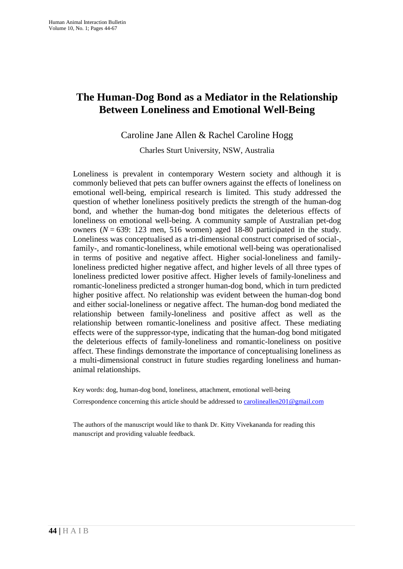# **The Human-Dog Bond as a Mediator in the Relationship Between Loneliness and Emotional Well-Being**

## Caroline Jane Allen & Rachel Caroline Hogg

Charles Sturt University, NSW, Australia

Loneliness is prevalent in contemporary Western society and although it is commonly believed that pets can buffer owners against the effects of loneliness on emotional well-being, empirical research is limited. This study addressed the question of whether loneliness positively predicts the strength of the human-dog bond, and whether the human-dog bond mitigates the deleterious effects of loneliness on emotional well-being. A community sample of Australian pet-dog owners  $(N = 639: 123$  men, 516 women) aged 18-80 participated in the study. Loneliness was conceptualised as a tri-dimensional construct comprised of social-, family-, and romantic-loneliness, while emotional well-being was operationalised in terms of positive and negative affect. Higher social-loneliness and familyloneliness predicted higher negative affect, and higher levels of all three types of loneliness predicted lower positive affect. Higher levels of family-loneliness and romantic-loneliness predicted a stronger human-dog bond, which in turn predicted higher positive affect. No relationship was evident between the human-dog bond and either social-loneliness or negative affect. The human-dog bond mediated the relationship between family-loneliness and positive affect as well as the relationship between romantic-loneliness and positive affect. These mediating effects were of the suppressor-type, indicating that the human-dog bond mitigated the deleterious effects of family-loneliness and romantic-loneliness on positive affect. These findings demonstrate the importance of conceptualising loneliness as a multi-dimensional construct in future studies regarding loneliness and humananimal relationships.

Key words: dog, human-dog bond, loneliness, attachment, emotional well-being

Correspondence concerning this article should be addressed to  $\frac{carolineallen201@gmail.com}{cartext{...}}$ 

The authors of the manuscript would like to thank Dr. Kitty Vivekananda for reading this manuscript and providing valuable feedback.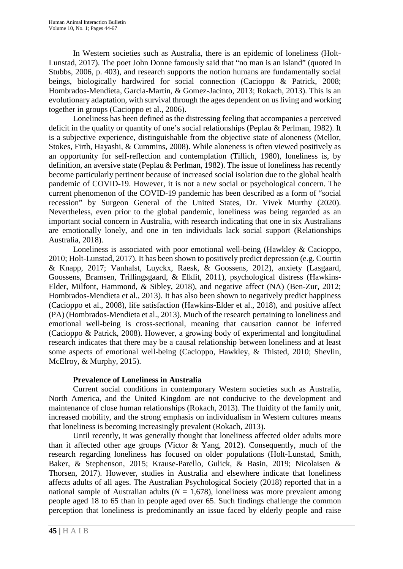In Western societies such as Australia, there is an epidemic of loneliness (Holt-Lunstad, 2017). The poet John Donne famously said that "no man is an island" (quoted in Stubbs, 2006, p. 403), and research supports the notion humans are fundamentally social beings, biologically hardwired for social connection (Cacioppo & Patrick, 2008; Hombrados-Mendieta, Garcia-Martin, & Gomez-Jacinto, 2013; Rokach, 2013). This is an evolutionary adaptation, with survival through the ages dependent on us living and working together in groups (Cacioppo et al., 2006).

Loneliness has been defined as the distressing feeling that accompanies a perceived deficit in the quality or quantity of one's social relationships (Peplau & Perlman, 1982). It is a subjective experience, distinguishable from the objective state of aloneness (Mellor, Stokes, Firth, Hayashi, & Cummins, 2008). While aloneness is often viewed positively as an opportunity for self-reflection and contemplation (Tillich, 1980), loneliness is, by definition, an aversive state (Peplau & Perlman, 1982). The issue of loneliness has recently become particularly pertinent because of increased social isolation due to the global health pandemic of COVID-19. However, it is not a new social or psychological concern. The current phenomenon of the COVID-19 pandemic has been described as a form of "social recession" by Surgeon General of the United States, Dr. Vivek Murthy (2020). Nevertheless, even prior to the global pandemic, loneliness was being regarded as an important social concern in Australia, with research indicating that one in six Australians are emotionally lonely, and one in ten individuals lack social support (Relationships Australia, 2018).

Loneliness is associated with poor emotional well-being (Hawkley & Cacioppo, 2010; Holt-Lunstad, 2017). It has been shown to positively predict depression (e.g. Courtin & Knapp, 2017; Vanhalst, Luyckx, Raesk, & Goossens, 2012), anxiety (Lasgaard, Goossens, Bramsen, Trillingsgaard, & Elklit, 2011), psychological distress (Hawkins-Elder, Milfont, Hammond, & Sibley, 2018), and negative affect (NA) (Ben-Zur, 2012; Hombrados-Mendieta et al., 2013). It has also been shown to negatively predict happiness (Cacioppo et al., 2008), life satisfaction (Hawkins-Elder et al., 2018), and positive affect (PA) (Hombrados-Mendieta et al., 2013). Much of the research pertaining to loneliness and emotional well-being is cross-sectional, meaning that causation cannot be inferred (Cacioppo & Patrick, 2008). However, a growing body of experimental and longitudinal research indicates that there may be a causal relationship between loneliness and at least some aspects of emotional well-being (Cacioppo, Hawkley, & Thisted, 2010; Shevlin, McElroy, & Murphy, 2015).

#### **Prevalence of Loneliness in Australia**

Current social conditions in contemporary Western societies such as Australia, North America, and the United Kingdom are not conducive to the development and maintenance of close human relationships (Rokach, 2013). The fluidity of the family unit, increased mobility, and the strong emphasis on individualism in Western cultures means that loneliness is becoming increasingly prevalent (Rokach, 2013).

Until recently, it was generally thought that loneliness affected older adults more than it affected other age groups (Victor & Yang, 2012). Consequently, much of the research regarding loneliness has focused on older populations (Holt-Lunstad, Smith, Baker, & Stephenson, 2015; Krause-Parello, Gulick, & Basin, 2019; Nicolaisen & Thorsen, 2017). However, studies in Australia and elsewhere indicate that loneliness affects adults of all ages. The Australian Psychological Society (2018) reported that in a national sample of Australian adults ( $N = 1.678$ ), loneliness was more prevalent among people aged 18 to 65 than in people aged over 65. Such findings challenge the common perception that loneliness is predominantly an issue faced by elderly people and raise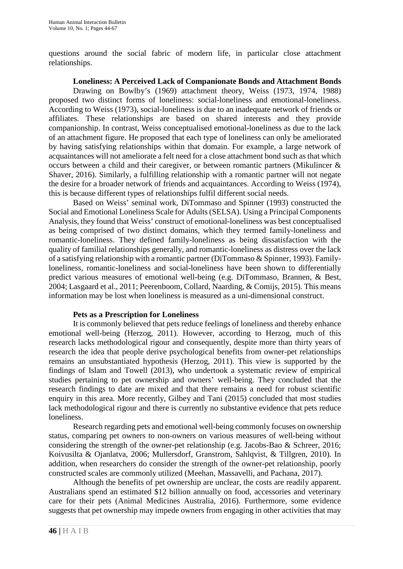questions around the social fabric of modern life, in particular close attachment relationships.

**Loneliness: A Perceived Lack of Companionate Bonds and Attachment Bonds**

Drawing on Bowlby's (1969) attachment theory, Weiss (1973, 1974, 1988) proposed two distinct forms of loneliness: social-loneliness and emotional-loneliness. According to Weiss (1973), social-loneliness is due to an inadequate network of friends or affiliates. These relationships are based on shared interests and they provide companionship. In contrast, Weiss conceptualised emotional-loneliness as due to the lack of an attachment figure. He proposed that each type of loneliness can only be ameliorated by having satisfying relationships within that domain. For example, a large network of acquaintances will not ameliorate a felt need for a close attachment bond such as that which occurs between a child and their caregiver, or between romantic partners (Mikulincer & Shaver, 2016). Similarly, a fulfilling relationship with a romantic partner will not negate the desire for a broader network of friends and acquaintances. According to Weiss (1974), this is because different types of relationships fulfil different social needs.

Based on Weiss' seminal work, DiTommaso and Spinner (1993) constructed the Social and Emotional Loneliness Scale for Adults (SELSA). Using a Principal Components Analysis, they found that Weiss' construct of emotional-loneliness was best conceptualised as being comprised of two distinct domains, which they termed family-loneliness and romantic-loneliness. They defined family-loneliness as being dissatisfaction with the quality of familial relationships generally, and romantic-loneliness as distress over the lack of a satisfying relationship with a romantic partner (DiTommaso & Spinner, 1993). Familyloneliness, romantic-loneliness and social-loneliness have been shown to differentially predict various measures of emotional well-being (e.g. DiTommaso, Brannen, & Best, 2004; Lasgaard et al., 2011; Peerenboom, Collard, Naarding, & Comijs, 2015). This means information may be lost when loneliness is measured as a uni-dimensional construct.

#### **Pets as a Prescription for Loneliness**

It is commonly believed that pets reduce feelings of loneliness and thereby enhance emotional well-being (Herzog, 2011). However, according to Herzog, much of this research lacks methodological rigour and consequently, despite more than thirty years of research the idea that people derive psychological benefits from owner-pet relationships remains an unsubstantiated hypothesis (Herzog, 2011). This view is supported by the findings of Islam and Towell (2013), who undertook a systematic review of empirical studies pertaining to pet ownership and owners' well-being. They concluded that the research findings to date are mixed and that there remains a need for robust scientific enquiry in this area. More recently, Gilbey and Tani (2015) concluded that most studies lack methodological rigour and there is currently no substantive evidence that pets reduce loneliness.

Research regarding pets and emotional well-being commonly focuses on ownership status, comparing pet owners to non-owners on various measures of well-being without considering the strength of the owner-pet relationship (e.g. Jacobs-Bao & Schreer, 2016; Koivusilta & Ojanlatva, 2006; Mullersdorf, Granstrom, Sahlqvist, & Tillgren, 2010). In addition, when researchers do consider the strength of the owner-pet relationship, poorly constructed scales are commonly utilized (Meehan, Massavelli, and Pachana, 2017).

Although the benefits of pet ownership are unclear, the costs are readily apparent. Australians spend an estimated \$12 billion annually on food, accessories and veterinary care for their pets (Animal Medicines Australia, 2016). Furthermore, some evidence suggests that pet ownership may impede owners from engaging in other activities that may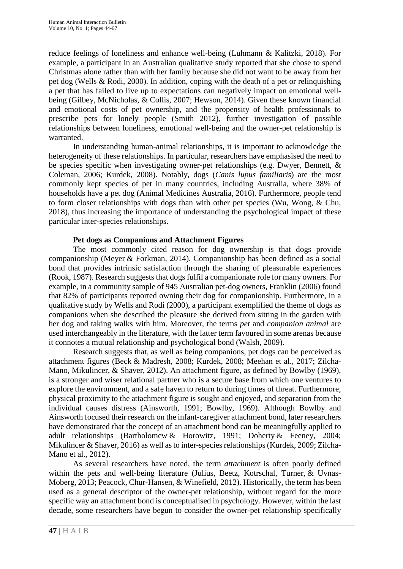reduce feelings of loneliness and enhance well-being (Luhmann & Kalitzki, 2018). For example, a participant in an Australian qualitative study reported that she chose to spend Christmas alone rather than with her family because she did not want to be away from her pet dog (Wells & Rodi, 2000). In addition, coping with the death of a pet or relinquishing a pet that has failed to live up to expectations can negatively impact on emotional wellbeing (Gilbey, McNicholas, & Collis, 2007; Hewson, 2014). Given these known financial and emotional costs of pet ownership, and the propensity of health professionals to prescribe pets for lonely people (Smith 2012), further investigation of possible relationships between loneliness, emotional well-being and the owner-pet relationship is warranted.

In understanding human-animal relationships, it is important to acknowledge the heterogeneity of these relationships. In particular, researchers have emphasised the need to be species specific when investigating owner-pet relationships (e.g. Dwyer, Bennett, & Coleman, 2006; Kurdek, 2008). Notably, dogs (*Canis lupus familiaris*) are the most commonly kept species of pet in many countries, including Australia, where 38% of households have a pet dog (Animal Medicines Australia, 2016). Furthermore, people tend to form closer relationships with dogs than with other pet species (Wu, Wong, & Chu, 2018), thus increasing the importance of understanding the psychological impact of these particular inter-species relationships.

#### **Pet dogs as Companions and Attachment Figures**

The most commonly cited reason for dog ownership is that dogs provide companionship (Meyer & Forkman, 2014). Companionship has been defined as a social bond that provides intrinsic satisfaction through the sharing of pleasurable experiences (Rook, 1987). Research suggests that dogs fulfil a companionate role for many owners. For example, in a community sample of 945 Australian pet-dog owners, Franklin (2006) found that 82% of participants reported owning their dog for companionship. Furthermore, in a qualitative study by Wells and Rodi (2000), a participant exemplified the theme of dogs as companions when she described the pleasure she derived from sitting in the garden with her dog and taking walks with him. Moreover, the terms *pet* and *companion animal* are used interchangeably in the literature, with the latter term favoured in some arenas because it connotes a mutual relationship and psychological bond (Walsh, 2009).

Research suggests that, as well as being companions, pet dogs can be perceived as attachment figures (Beck & Madresh, 2008; Kurdek, 2008; Meehan et al., 2017; Zilcha-Mano, Mikulincer, & Shaver, 2012). An attachment figure, as defined by Bowlby (1969), is a stronger and wiser relational partner who is a secure base from which one ventures to explore the environment, and a safe haven to return to during times of threat. Furthermore, physical proximity to the attachment figure is sought and enjoyed, and separation from the individual causes distress (Ainsworth, 1991; Bowlby, 1969). Although Bowlby and Ainsworth focused their research on the infant-caregiver attachment bond, later researchers have demonstrated that the concept of an attachment bond can be meaningfully applied to adult relationships (Bartholomew & Horowitz, 1991; Doherty & Feeney, 2004; Mikulincer & Shaver, 2016) as well as to inter-species relationships (Kurdek, 2009; Zilcha-Mano et al., 2012).

As several researchers have noted, the term *attachment* is often poorly defined within the pets and well-being literature (Julius, Beetz, Kotrschal, Turner, & Uvnas-Moberg, 2013; Peacock, Chur-Hansen, & Winefield, 2012). Historically, the term has been used as a general descriptor of the owner-pet relationship, without regard for the more specific way an attachment bond is conceptualised in psychology. However, within the last decade, some researchers have begun to consider the owner-pet relationship specifically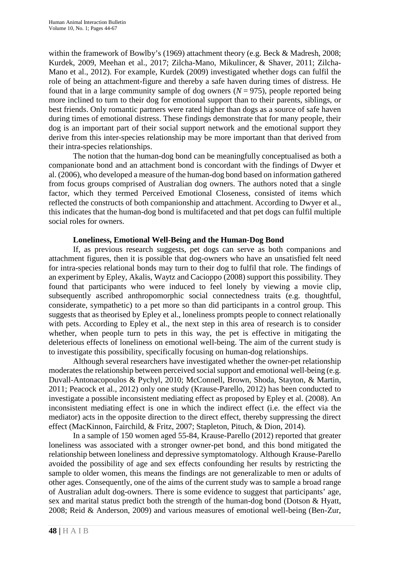within the framework of Bowlby's (1969) attachment theory (e.g. Beck & Madresh, 2008; Kurdek, 2009, Meehan et al., 2017; Zilcha-Mano, Mikulincer, & Shaver, 2011; Zilcha-Mano et al., 2012). For example, Kurdek (2009) investigated whether dogs can fulfil the role of being an attachment-figure and thereby a safe haven during times of distress. He found that in a large community sample of dog owners  $(N = 975)$ , people reported being more inclined to turn to their dog for emotional support than to their parents, siblings, or best friends. Only romantic partners were rated higher than dogs as a source of safe haven during times of emotional distress. These findings demonstrate that for many people, their dog is an important part of their social support network and the emotional support they derive from this inter-species relationship may be more important than that derived from their intra-species relationships.

The notion that the human-dog bond can be meaningfully conceptualised as both a companionate bond and an attachment bond is concordant with the findings of Dwyer et al. (2006), who developed a measure of the human-dog bond based on information gathered from focus groups comprised of Australian dog owners. The authors noted that a single factor, which they termed Perceived Emotional Closeness, consisted of items which reflected the constructs of both companionship and attachment. According to Dwyer et al., this indicates that the human-dog bond is multifaceted and that pet dogs can fulfil multiple social roles for owners.

#### **Loneliness, Emotional Well-Being and the Human-Dog Bond**

If, as previous research suggests, pet dogs can serve as both companions and attachment figures, then it is possible that dog-owners who have an unsatisfied felt need for intra-species relational bonds may turn to their dog to fulfil that role. The findings of an experiment by Epley, Akalis, Waytz and Cacioppo (2008) support this possibility. They found that participants who were induced to feel lonely by viewing a movie clip, subsequently ascribed anthropomorphic social connectedness traits (e.g. thoughtful, considerate, sympathetic) to a pet more so than did participants in a control group. This suggests that as theorised by Epley et al., loneliness prompts people to connect relationally with pets. According to Epley et al., the next step in this area of research is to consider whether, when people turn to pets in this way, the pet is effective in mitigating the deleterious effects of loneliness on emotional well-being. The aim of the current study is to investigate this possibility, specifically focusing on human-dog relationships.

Although several researchers have investigated whether the owner-pet relationship moderates the relationship between perceived social support and emotional well-being (e.g. Duvall-Antonacopoulos & Pychyl, 2010; McConnell, Brown, Shoda, Stayton, & Martin, 2011; Peacock et al., 2012) only one study (Krause-Parello, 2012) has been conducted to investigate a possible inconsistent mediating effect as proposed by Epley et al. (2008). An inconsistent mediating effect is one in which the indirect effect (i.e. the effect via the mediator) acts in the opposite direction to the direct effect, thereby suppressing the direct effect (MacKinnon, Fairchild, & Fritz, 2007; Stapleton, Pituch, & Dion, 2014).

In a sample of 150 women aged 55-84, Krause-Parello (2012) reported that greater loneliness was associated with a stronger owner-pet bond, and this bond mitigated the relationship between loneliness and depressive symptomatology. Although Krause-Parello avoided the possibility of age and sex effects confounding her results by restricting the sample to older women, this means the findings are not generalizable to men or adults of other ages. Consequently, one of the aims of the current study was to sample a broad range of Australian adult dog-owners. There is some evidence to suggest that participants' age, sex and marital status predict both the strength of the human-dog bond (Dotson & Hyatt, 2008; Reid & Anderson, 2009) and various measures of emotional well-being (Ben-Zur,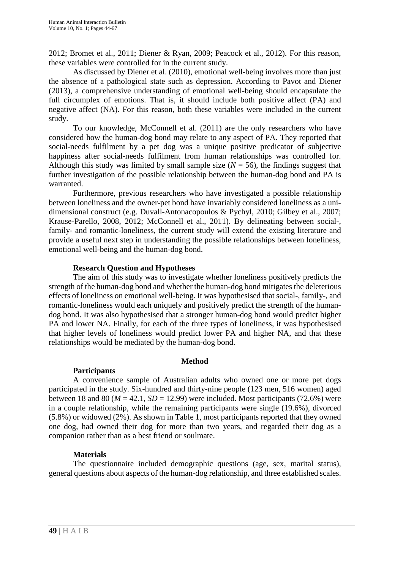2012; Bromet et al., 2011; Diener & Ryan, 2009; Peacock et al., 2012). For this reason, these variables were controlled for in the current study.

As discussed by Diener et al. (2010), emotional well-being involves more than just the absence of a pathological state such as depression. According to Pavot and Diener (2013), a comprehensive understanding of emotional well-being should encapsulate the full circumplex of emotions. That is, it should include both positive affect (PA) and negative affect (NA). For this reason, both these variables were included in the current study.

To our knowledge, McConnell et al. (2011) are the only researchers who have considered how the human-dog bond may relate to any aspect of PA. They reported that social-needs fulfilment by a pet dog was a unique positive predicator of subjective happiness after social-needs fulfilment from human relationships was controlled for. Although this study was limited by small sample size  $(N = 56)$ , the findings suggest that further investigation of the possible relationship between the human-dog bond and PA is warranted.

Furthermore, previous researchers who have investigated a possible relationship between loneliness and the owner-pet bond have invariably considered loneliness as a unidimensional construct (e.g. Duvall-Antonacopoulos & Pychyl, 2010; Gilbey et al., 2007; Krause-Parello, 2008, 2012; McConnell et al., 2011). By delineating between social-, family- and romantic-loneliness, the current study will extend the existing literature and provide a useful next step in understanding the possible relationships between loneliness, emotional well-being and the human-dog bond.

#### **Research Question and Hypotheses**

The aim of this study was to investigate whether loneliness positively predicts the strength of the human-dog bond and whether the human-dog bond mitigates the deleterious effects of loneliness on emotional well-being. It was hypothesised that social-, family-, and romantic-loneliness would each uniquely and positively predict the strength of the humandog bond. It was also hypothesised that a stronger human-dog bond would predict higher PA and lower NA. Finally, for each of the three types of loneliness, it was hypothesised that higher levels of loneliness would predict lower PA and higher NA, and that these relationships would be mediated by the human-dog bond.

## **Method**

## **Participants**

A convenience sample of Australian adults who owned one or more pet dogs participated in the study. Six-hundred and thirty-nine people (123 men, 516 women) aged between 18 and 80 ( $M = 42.1$ ,  $SD = 12.99$ ) were included. Most participants (72.6%) were in a couple relationship, while the remaining participants were single (19.6%), divorced (5.8%) or widowed (2%). As shown in Table 1, most participants reported that they owned one dog, had owned their dog for more than two years, and regarded their dog as a companion rather than as a best friend or soulmate.

## **Materials**

The questionnaire included demographic questions (age, sex, marital status), general questions about aspects of the human-dog relationship, and three established scales.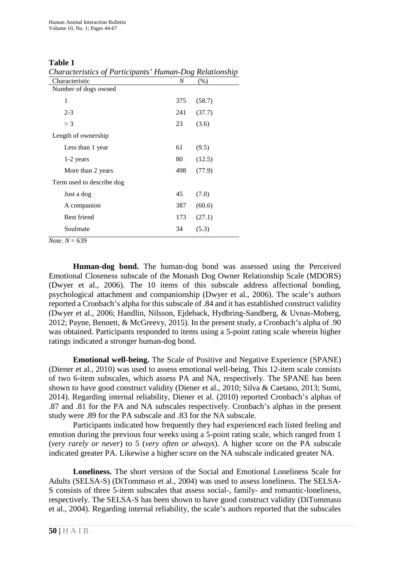#### **Table 1**

*Characteristics of Participants' Human-Dog Relationship*

| Characteristics of Farncipanis Trainan Dog Retailonshi |     |        |
|--------------------------------------------------------|-----|--------|
| Characteristic                                         | N   | $(\%)$ |
| Number of dogs owned                                   |     |        |
| 1                                                      | 375 | (58.7) |
| $2 - 3$                                                | 241 | (37.7) |
| $>$ 3                                                  | 23  | (3.6)  |
| Length of ownership                                    |     |        |
| Less than 1 year                                       | 61  | (9.5)  |
| 1-2 years                                              | 80  | (12.5) |
| More than 2 years                                      | 498 | (77.9) |
| Term used to describe dog                              |     |        |
| Just a dog                                             | 45  | (7.0)  |
| A companion                                            | 387 | (60.6) |
| Best friend                                            | 173 | (27.1) |
| Soulmate                                               | 34  | (5.3)  |
|                                                        |     |        |

 $$ 

**Human-dog bond.** The human-dog bond was assessed using the Perceived Emotional Closeness subscale of the Monash Dog Owner Relationship Scale (MDORS) (Dwyer et al., 2006). The 10 items of this subscale address affectional bonding, psychological attachment and companionship (Dwyer et al., 2006). The scale's authors reported a Cronbach's alpha for this subscale of .84 and it has established construct validity (Dwyer et al., 2006; Handlin, Nilsson, Ejdeback, Hydbring-Sandberg, & Uvnas-Moberg, 2012; Payne, Bennett, & McGreevy, 2015). In the present study, a Cronbach's alpha of .90 was obtained. Participants responded to items using a 5-point rating scale wherein higher ratings indicated a stronger human-dog bond.

**Emotional well-being.** The Scale of Positive and Negative Experience (SPANE) (Diener et al., 2010) was used to assess emotional well-being. This 12-item scale consists of two 6-item subscales, which assess PA and NA, respectively. The SPANE has been shown to have good construct validity (Diener et al., 2010; Silva & Caetano, 2013; Sumi, 2014). Regarding internal reliability, Diener et al. (2010) reported Cronbach's alphas of .87 and .81 for the PA and NA subscales respectively. Cronbach's alphas in the present study were .89 for the PA subscale and .83 for the NA subscale.

Participants indicated how frequently they had experienced each listed feeling and emotion during the previous four weeks using a 5-point rating scale, which ranged from 1 (*very rarely or never*) to 5 (*very often or always*). A higher score on the PA subscale indicated greater PA. Likewise a higher score on the NA subscale indicated greater NA.

**Loneliness.** The short version of the Social and Emotional Loneliness Scale for Adults (SELSA-S) (DiTommaso et al., 2004) was used to assess loneliness. The SELSA-S consists of three 5-item subscales that assess social-, family- and romantic-loneliness, respectively. The SELSA-S has been shown to have good construct validity (DiTommaso et al., 2004). Regarding internal reliability, the scale's authors reported that the subscales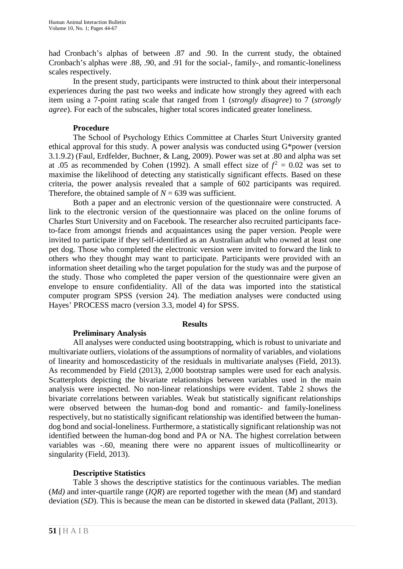had Cronbach's alphas of between .87 and .90. In the current study, the obtained Cronbach's alphas were .88, .90, and .91 for the social-, family-, and romantic-loneliness scales respectively.

In the present study, participants were instructed to think about their interpersonal experiences during the past two weeks and indicate how strongly they agreed with each item using a 7-point rating scale that ranged from 1 (*strongly disagree*) to 7 (*strongly agree*). For each of the subscales, higher total scores indicated greater loneliness.

#### **Procedure**

The School of Psychology Ethics Committee at Charles Sturt University granted ethical approval for this study. A power analysis was conducted using G\*power (version 3.1.9.2) (Faul, Erdfelder, Buchner, & Lang, 2009). Power was set at .80 and alpha was set at .05 as recommended by Cohen (1992). A small effect size of  $f^2 = 0.02$  was set to maximise the likelihood of detecting any statistically significant effects. Based on these criteria, the power analysis revealed that a sample of 602 participants was required. Therefore, the obtained sample of  $N = 639$  was sufficient.

Both a paper and an electronic version of the questionnaire were constructed. A link to the electronic version of the questionnaire was placed on the online forums of Charles Sturt University and on Facebook. The researcher also recruited participants faceto-face from amongst friends and acquaintances using the paper version. People were invited to participate if they self-identified as an Australian adult who owned at least one pet dog. Those who completed the electronic version were invited to forward the link to others who they thought may want to participate. Participants were provided with an information sheet detailing who the target population for the study was and the purpose of the study. Those who completed the paper version of the questionnaire were given an envelope to ensure confidentiality. All of the data was imported into the statistical computer program SPSS (version 24). The mediation analyses were conducted using Hayes' PROCESS macro (version 3.3, model 4) for SPSS.

#### <span id="page-7-0"></span>**Results**

## **Preliminary Analysis**

All analyses were conducted using bootstrapping, which is robust to univariate and multivariate outliers, violations of the assumptions of normality of variables, and violations of linearity and homoscedasticity of the residuals in multivariate analyses (Field, 2013). As recommended by Field (2013), 2,000 bootstrap samples were used for each analysis. Scatterplots depicting the bivariate relationships between variables used in the main analysis were inspected. No non-linear relationships were evident. Table 2 shows the bivariate correlations between variables. Weak but statistically significant relationships were observed between the human-dog bond and romantic- and family-loneliness respectively, but no statistically significant relationship was identified between the humandog bond and social-loneliness. Furthermore, a statistically significant relationship was not identified between the human-dog bond and PA or NA. The highest correlation between variables was -.60, meaning there were no apparent issues of multicollinearity or singularity (Field, 2013).

## **Descriptive Statistic[s](#page-7-0)**

Table 3 shows the descriptive statistics for the continuous variables. The median (*Md)* and inter-quartile range (*IQR*) are reported together with the mean (*M*) and standard deviation (*SD*). This is because the mean can be distorted in skewed data (Pallant, 2013).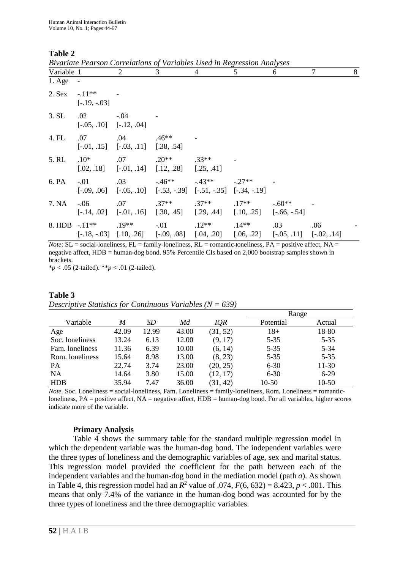## **Table 2**

| Variable 1      |                                    | $\overline{2}$                                  | 3                                                                                               | 4                             | 5       | 6       | 7   | 8 |
|-----------------|------------------------------------|-------------------------------------------------|-------------------------------------------------------------------------------------------------|-------------------------------|---------|---------|-----|---|
| $1. \text{Age}$ | $\overline{\phantom{a}}$           |                                                 |                                                                                                 |                               |         |         |     |   |
| $2.$ Sex        | $-.11**$<br>$[-.19, -03]$          |                                                 |                                                                                                 |                               |         |         |     |   |
| 3. SL           | .02<br>$[-.05, .10]$ $[-.12, .04]$ | $-.04$                                          |                                                                                                 |                               |         |         |     |   |
| 4. FL           | .07                                | .04<br>$[-.01, .15]$ $[-.03, .11]$ $[.38, .54]$ | $.46**$                                                                                         |                               |         |         |     |   |
| 5. RL           | $.10*$                             | .07                                             | $.20**$ $.33**$<br>$[.02, .18]$ $[-.01, .14]$ $[.12, .28]$ $[.25, .41]$                         |                               |         |         |     |   |
| 6. PA           | $-.01$                             | .03                                             | $[-.09, .06]$ $[-.05, .10]$ $[-.53, -.39]$ $[-.51, -.35]$ $[-.34, -.19]$                        | $-0.46**$ $-0.43**$ $-0.27**$ |         |         |     |   |
| 7. NA           | $-0.06$                            | .07                                             | $[-.14, .02]$ $[-.01, .16]$ $[.30, .45]$ $[.29, .44]$ $[.10, .25]$ $[-.66, -.54]$               | $.37**$ $.37**$               | $.17**$ | $-60**$ |     |   |
|                 | 8. HDB $-11**$ .19**               |                                                 | $[-.18, -.03]$ $[.10, .26]$ $[-.09, .08]$ $[.04, .20]$ $[.06, .22]$ $[-.05, .11]$ $[-.02, .14]$ | $-01$ .12**                   | $.14**$ | .03     | .06 |   |

*Bivariate Pearson Correlations of Variables Used in Regression Analyses*

 $$ negative affect, HDB = human-dog bond. 95% Percentile CIs based on 2,000 bootstrap samples shown in brackets.

\**p* < .05 (2-tailed). \*\**p* < .01 (2-tailed).

| Table 3                                                       |  |  |
|---------------------------------------------------------------|--|--|
| Descriptive Statistics for Continuous Variables ( $N = 639$ ) |  |  |

|                 |       |       |       |          |           | Range    |  |  |
|-----------------|-------|-------|-------|----------|-----------|----------|--|--|
| Variable        | M     | SD    | Мd    | IQR      | Potential | Actual   |  |  |
| Age             | 42.09 | 12.99 | 43.00 | (31, 52) | $18+$     | 18-80    |  |  |
| Soc. loneliness | 13.24 | 6.13  | 12.00 | (9, 17)  | $5 - 35$  | $5 - 35$ |  |  |
| Fam. loneliness | 11.36 | 6.39  | 10.00 | (6, 14)  | $5 - 35$  | $5 - 34$ |  |  |
| Rom. loneliness | 15.64 | 8.98  | 13.00 | (8, 23)  | $5 - 35$  | $5 - 35$ |  |  |
| <b>PA</b>       | 22.74 | 3.74  | 23.00 | (20, 25) | $6 - 30$  | 11-30    |  |  |
| <b>NA</b>       | 14.64 | 3.80  | 15.00 | (12, 17) | $6 - 30$  | $6-29$   |  |  |
| <b>HDB</b>      | 35.94 | 7.47  | 36.00 | (31, 42) | 10-50     | 10-50    |  |  |

*Note.* Soc. Loneliness = social-loneliness, Fam. Loneliness = family-loneliness, Rom. Loneliness = romanticloneliness, PA = positive affect, NA = negative affect, HDB = human-dog bond. For all variables, higher scores indicate more of the variable.

## **Primary Analysis**

Table 4 shows the summary table for the standard multiple regression model in which the dependent variable was the human-dog bond. The independent variables were the three types of loneliness and the demographic variables of age, sex and marital status. This regression model provided the coefficient for the path between each of the independent variables and the human-dog bond in the mediation model (path *a*). As shown in Table 4, this regression model had an  $\overline{R}^2$  value of .074,  $F(6, 632) = 8.423$ ,  $p < .001$ . This means that only 7.4% of the variance in the human-dog bond was accounted for by the three types of loneliness and the three demographic variables.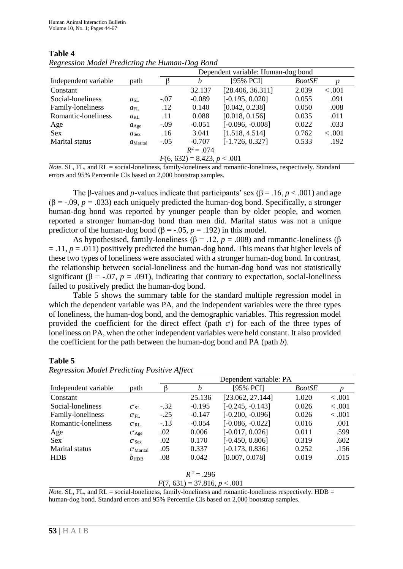|                      |                   | Dependent variable: Human-dog bond |                               |                    |               |         |  |
|----------------------|-------------------|------------------------------------|-------------------------------|--------------------|---------------|---------|--|
| Independent variable | path              |                                    | h                             | [95% PCI]          | <i>BootSE</i> |         |  |
| Constant             |                   |                                    | 32.137                        | [28.406, 36.311]   | 2.039         | < .001  |  |
| Social-loneliness    | $a_{\rm SI}$      | $-.07$                             | $-0.089$                      | $[-0.195, 0.020]$  | 0.055         | .091    |  |
| Family-loneliness    | $d_{\text{FI}}$ . | .12                                | 0.140                         | [0.042, 0.238]     | 0.050         | .008    |  |
| Romantic-loneliness  | $a_{\text{RI}}$   | .11                                | 0.088                         | [0.018, 0.156]     | 0.035         | .011    |  |
| Age                  | $a_{\text{Age}}$  | $-.09$                             | $-0.051$                      | $[-0.096, -0.008]$ | 0.022         | .033    |  |
| <b>Sex</b>           | $a_{\text{Sex}}$  | .16                                | 3.041                         | [1.518, 4.514]     | 0.762         | < 0.001 |  |
| Marital status       | $d$ Marital       | $-.05$                             | $-0.707$                      | $[-1.726, 0.327]$  | 0.533         | .192    |  |
|                      |                   |                                    | $R^2 = .074$                  |                    |               |         |  |
|                      |                   |                                    | $F(6, 632) = 8.423, p < .001$ |                    |               |         |  |

#### **Table 4** *Regression Model Predicting the Human-Dog Bond*

*Note.* SL, FL, and RL = social-loneliness, family-loneliness and romantic-loneliness, respectively. Standard errors and 95% Percentile CIs based on 2,000 bootstrap samples.

The β-values and *p*-values indicate that participants' sex (β = .16, *p* < .001) and age  $(\beta = -0.09, p = 0.033)$  each uniquely predicted the human-dog bond. Specifically, a stronger human-dog bond was reported by younger people than by older people, and women reported a stronger human-dog bond than men did. Marital status was not a unique predictor of the human-dog bond (β = -.05,  $p = .192$ ) in this model.

As hypothesised, family-loneliness ( $\beta$  = .12, *p* = .008) and romantic-loneliness ( $\beta$ = .11, *p* = .011) positively predicted the human-dog bond. This means that higher levels of these two types of loneliness were associated with a stronger human-dog bond. In contrast, the relationship between social-loneliness and the human-dog bond was not statistically significant ( $\beta$  = -.07,  $p$  = .091), indicating that contrary to expectation, social-loneliness failed to positively predict the human-dog bond.

Table 5 shows the summary table for the standard multiple regression model in which the dependent variable was PA, and the independent variables were the three types of loneliness, the human-dog bond, and the demographic variables. This regression model provided the coefficient for the direct effect (path  $c'$ ) for each of the three types of loneliness on PA, when the other independent variables were held constant. It also provided the coefficient for the path between the human-dog bond and PA (path *b*).

#### **Table 5**

|                      |               | Dependent variable: PA |          |                    |               |         |  |
|----------------------|---------------|------------------------|----------|--------------------|---------------|---------|--|
| Independent variable | path          |                        | h        | [95% PCI]          | <i>BootSE</i> | p       |  |
| Constant             |               |                        | 25.136   | [23.062, 27.144]   | 1.020         | < .001  |  |
| Social-loneliness    | $C'_{\rm SL}$ | $-.32$                 | $-0.195$ | $[-0.245, -0.143]$ | 0.026         | < 0.001 |  |
| Family-loneliness    | $C'_{\rm FL}$ | $-.25$                 | $-0.147$ | $[-0.200, -0.096]$ | 0.026         | < 0.001 |  |
| Romantic-loneliness  | $C'_{\rm RL}$ | $-.13$                 | $-0.054$ | $[-0.086, -0.022]$ | 0.016         | .001    |  |
| Age                  | $C'$ Age      | .02                    | 0.006    | $[-0.017, 0.026]$  | 0.011         | .599    |  |
| Sex                  | $C'$ Sex      | .02                    | 0.170    | $[-0.450, 0.806]$  | 0.319         | .602    |  |
| Marital status       | $C'$ Marital  | .05                    | 0.337    | $[-0.173, 0.836]$  | 0.252         | .156    |  |
| <b>HDB</b>           | $b_{\rm HDB}$ | .08                    | 0.042    | [0.007, 0.078]     | 0.019         | .015    |  |
|                      |               |                        |          |                    |               |         |  |

## *Regression Model Predicting Positive Affect*

$$
R^2 = .296
$$
  
F(7, 631) = 37.816, p < .001

*Note.* SL, FL, and RL = social-loneliness, family-loneliness and romantic-loneliness respectively.  $HDB =$ human-dog bond. Standard errors and 95% Percentile CIs based on 2,000 bootstrap samples.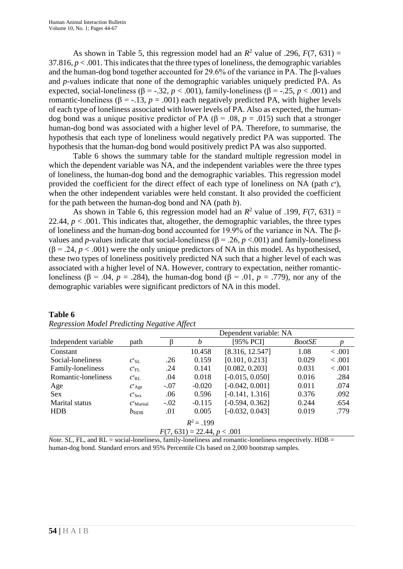As shown in Table 5, this regression model had an  $R^2$  value of .296,  $F(7, 631) =$ 37.816,  $p < .001$ . This indicates that the three types of loneliness, the demographic variables and the human-dog bond together accounted for 29.6% of the variance in PA. The β-values and *p-*values indicate that none of the demographic variables uniquely predicted PA. As expected, social-loneliness ( $\beta$  = -.32, *p* < .001), family-loneliness ( $\beta$  = -.25, *p* < .001) and romantic-loneliness (β = -.13, *p* = .001) each negatively predicted PA, with higher levels of each type of loneliness associated with lower levels of PA. Also as expected, the humandog bond was a unique positive predictor of PA (β = .08,  $p = .015$ ) such that a stronger human-dog bond was associated with a higher level of PA. Therefore, to summarise, the hypothesis that each type of loneliness would negatively predict PA was supported. The hypothesis that the human-dog bond would positively predict PA was also supported.

Table 6 shows the summary table for the standard multiple regression model in which the dependent variable was NA, and the independent variables were the three types of loneliness, the human-dog bond and the demographic variables. This regression model provided the coefficient for the direct effect of each type of loneliness on NA (path  $c'$ ), when the other independent variables were held constant. It also provided the coefficient for the path between the human-dog bond and NA (path *b*).

As shown in Table 6, this regression model had an  $R^2$  value of .199,  $F(7, 631) =$ 22.44,  $p < .001$ . This indicates that, altogether, the demographic variables, the three types of loneliness and the human-dog bond accounted for 19.9% of the variance in NA. The βvalues and *p*-values indicate that social-loneliness ( $\beta$  = .26, *p* <.001) and family-loneliness  $(\beta = .24, p < .001)$  were the only unique predictors of NA in this model. As hypothesised, these two types of loneliness positively predicted NA such that a higher level of each was associated with a higher level of NA. However, contrary to expectation, neither romanticloneliness (β = .04, *p* = .284), the human-dog bond (β = .01, *p* = .779), nor any of the demographic variables were significant predictors of NA in this model.

|                               |               | Dependent variable: NA |          |                   |               |         |  |
|-------------------------------|---------------|------------------------|----------|-------------------|---------------|---------|--|
| Independent variable          | path          |                        | h        | [95% PCI]         | <i>BootSE</i> | p       |  |
| Constant                      |               |                        | 10.458   | [8.316, 12.547]   | 1.08          | < 0.001 |  |
| Social-loneliness             | $C'_{\rm SL}$ | .26                    | 0.159    | [0.101, 0.213]    | 0.029         | < 0.001 |  |
| Family-loneliness             | $C'_{\rm FL}$ | .24                    | 0.141    | [0.082, 0.203]    | 0.031         | < 0.001 |  |
| Romantic-loneliness           | $C'_{\rm RL}$ | .04                    | 0.018    | $[-0.015, 0.050]$ | 0.016         | .284    |  |
| Age                           | $C'$ Age      | $-.07$                 | $-0.020$ | $[-0.042, 0.001]$ | 0.011         | .074    |  |
| <b>Sex</b>                    | $C'$ Sex      | .06                    | 0.596    | $[-0.141, 1.316]$ | 0.376         | .092    |  |
| Marital status                | $C'$ Marital  | $-.02$                 | $-0.115$ | $[-0.594, 0.362]$ | 0.244         | .654    |  |
| <b>HDB</b>                    | $b_{\rm HDB}$ | .01                    | 0.005    | $[-0.032, 0.043]$ | 0.019         | .779    |  |
| $R^2 = .199$                  |               |                        |          |                   |               |         |  |
| $F(7, 631) = 22.44, p < .001$ |               |                        |          |                   |               |         |  |

#### **Table 6** *Regression Model Predicting Negative Affect*

*Note.* SL, FL, and RL = social-loneliness, family-loneliness and romantic-loneliness respectively. HDB = human-dog bond. Standard errors and 95% Percentile CIs based on 2,000 bootstrap samples.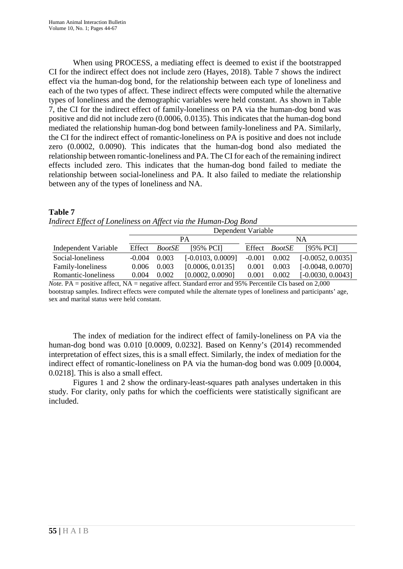When using PROCESS, a mediating effect is deemed to exist if the bootstrapped CI for the indirect effect does not include zero (Hayes, 2018). Table 7 shows the indirect effect via the human-dog bond, for the relationship between each type of loneliness and each of the two types of affect. These indirect effects were computed while the alternative types of loneliness and the demographic variables were held constant. As shown in Table 7, the CI for the indirect effect of family-loneliness on PA via the human-dog bond was positive and did not include zero (0.0006, 0.0135). This indicates that the human-dog bond mediated the relationship human-dog bond between family-loneliness and PA. Similarly, the CI for the indirect effect of romantic-loneliness on PA is positive and does not include zero (0.0002, 0.0090). This indicates that the human-dog bond also mediated the relationship between romantic-loneliness and PA. The CI for each of the remaining indirect effects included zero. This indicates that the human-dog bond failed to mediate the relationship between social-loneliness and PA. It also failed to mediate the relationship between any of the types of loneliness and NA.

|                      | Dependent Variable |               |                     |          |               |                     |  |
|----------------------|--------------------|---------------|---------------------|----------|---------------|---------------------|--|
|                      |                    |               | PА                  |          |               | NA                  |  |
| Independent Variable | Effect             | <i>BootSE</i> | [95% PCI]           | Effect   | <i>BootSE</i> | [95% PCI]           |  |
| Social-loneliness    | $-0.004$           | 0.003         | $[-0.0103, 0.0009]$ | $-0.001$ | 0.002         | $[-0.0052, 0.0035]$ |  |
| Family-loneliness    | 0.006              | 0.003         | [0.0006, 0.0135]    | 0.001    | 0.003         | $[-0.0048, 0.0070]$ |  |
| Romantic-loneliness  | 0.004              | 0.002         | [0.0002, 0.0090]    | 0.001    | 0.002         | $[-0.0030, 0.0043]$ |  |

| <b>Table 7</b>                                                 |  |  |
|----------------------------------------------------------------|--|--|
| Indirect Effect of Loneliness on Affect via the Human-Dog Bond |  |  |

*Note.* PA = positive affect, NA = negative affect. Standard error and 95% Percentile CIs based on 2,000 bootstrap samples. Indirect effects were computed while the alternate types of loneliness and participants' age, sex and marital status were held constant.

The index of mediation for the indirect effect of family-loneliness on PA via the human-dog bond was 0.010 [0.0009, 0.0232]. Based on Kenny's (2014) recommended interpretation of effect sizes, this is a small effect. Similarly, the index of mediation for the indirect effect of romantic-loneliness on PA via the human-dog bond was 0.009 [0.0004, 0.0218]. This is also a small effect.

Figures 1 and 2 show the ordinary-least-squares path analyses undertaken in this study. For clarity, only paths for which the coefficients were statistically significant are included.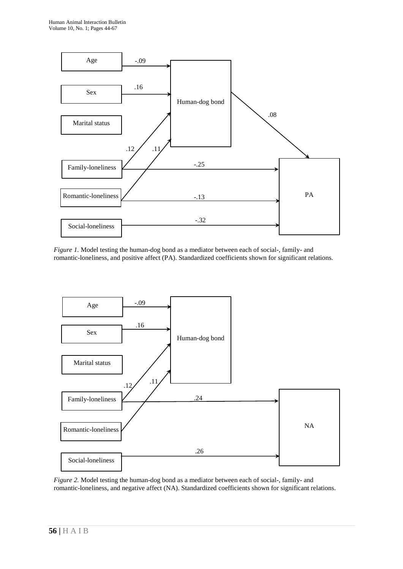

*Figure 1.* Model testing the human-dog bond as a mediator between each of social-, family- and romantic-loneliness, and positive affect (PA). Standardized coefficients shown for significant relations.



*Figure 2.* Model testing the human-dog bond as a mediator between each of social-, family- and romantic-loneliness, and negative affect (NA). Standardized coefficients shown for significant relations.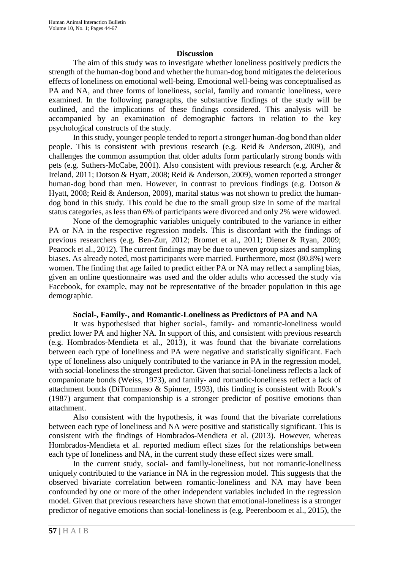#### **Discussion**

The aim of this study was to investigate whether loneliness positively predicts the strength of the human-dog bond and whether the human-dog bond mitigates the deleterious effects of loneliness on emotional well-being. Emotional well-being was conceptualised as PA and NA, and three forms of loneliness, social, family and romantic loneliness, were examined. In the following paragraphs, the substantive findings of the study will be outlined, and the implications of these findings considered. This analysis will be accompanied by an examination of demographic factors in relation to the key psychological constructs of the study.

In this study, younger people tended to report a stronger human-dog bond than older people. This is consistent with previous research (e.g. Reid & Anderson, 2009), and challenges the common assumption that older adults form particularly strong bonds with pets (e.g. Suthers-McCabe, 2001). Also consistent with previous research (e.g. Archer & Ireland, 2011; Dotson & Hyatt, 2008; Reid & Anderson, 2009), women reported a stronger human-dog bond than men. However, in contrast to previous findings (e.g. Dotson & Hyatt, 2008; Reid & Anderson, 2009), marital status was not shown to predict the humandog bond in this study. This could be due to the small group size in some of the marital status categories, as less than 6% of participants were divorced and only 2% were widowed.

None of the demographic variables uniquely contributed to the variance in either PA or NA in the respective regression models. This is discordant with the findings of previous researchers (e.g. Ben-Zur, 2012; Bromet et al., 2011; Diener & Ryan, 2009; Peacock et al., 2012). The current findings may be due to uneven group sizes and sampling biases. As already noted, most participants were married. Furthermore, most (80.8%) were women. The finding that age failed to predict either PA or NA may reflect a sampling bias, given an online questionnaire was used and the older adults who accessed the study via Facebook, for example, may not be representative of the broader population in this age demographic.

#### **Social-, Family-, and Romantic-Loneliness as Predictors of PA and NA**

It was hypothesised that higher social-, family- and romantic-loneliness would predict lower PA and higher NA. In support of this, and consistent with previous research (e.g. Hombrados-Mendieta et al., 2013), it was found that the bivariate correlations between each type of loneliness and PA were negative and statistically significant. Each type of loneliness also uniquely contributed to the variance in PA in the regression model, with social-loneliness the strongest predictor. Given that social-loneliness reflects a lack of companionate bonds (Weiss, 1973), and family- and romantic-loneliness reflect a lack of attachment bonds (DiTommaso & Spinner, 1993), this finding is consistent with Rook's (1987) argument that companionship is a stronger predictor of positive emotions than attachment.

Also consistent with the hypothesis, it was found that the bivariate correlations between each type of loneliness and NA were positive and statistically significant. This is consistent with the findings of Hombrados-Mendieta et al. (2013). However, whereas Hombrados-Mendieta et al. reported medium effect sizes for the relationships between each type of loneliness and NA, in the current study these effect sizes were small.

In the current study, social- and family-loneliness, but not romantic-loneliness uniquely contributed to the variance in NA in the regression model. This suggests that the observed bivariate correlation between romantic-loneliness and NA may have been confounded by one or more of the other independent variables included in the regression model. Given that previous researchers have shown that emotional-loneliness is a stronger predictor of negative emotions than social-loneliness is (e.g. Peerenboom et al., 2015), the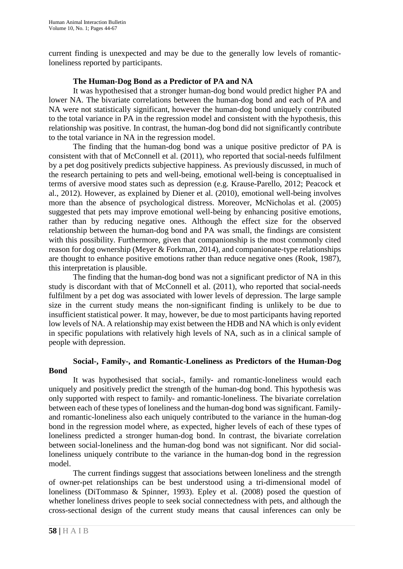current finding is unexpected and may be due to the generally low levels of romanticloneliness reported by participants.

## **The Human-Dog Bond as a Predictor of PA and NA**

It was hypothesised that a stronger human-dog bond would predict higher PA and lower NA. The bivariate correlations between the human-dog bond and each of PA and NA were not statistically significant, however the human-dog bond uniquely contributed to the total variance in PA in the regression model and consistent with the hypothesis, this relationship was positive. In contrast, the human-dog bond did not significantly contribute to the total variance in NA in the regression model.

The finding that the human-dog bond was a unique positive predictor of PA is consistent with that of McConnell et al. (2011), who reported that social-needs fulfilment by a pet dog positively predicts subjective happiness. As previously discussed, in much of the research pertaining to pets and well-being, emotional well-being is conceptualised in terms of aversive mood states such as depression (e.g. Krause-Parello, 2012; Peacock et al., 2012). However, as explained by Diener et al. (2010), emotional well-being involves more than the absence of psychological distress. Moreover, McNicholas et al. (2005) suggested that pets may improve emotional well-being by enhancing positive emotions, rather than by reducing negative ones. Although the effect size for the observed relationship between the human-dog bond and PA was small, the findings are consistent with this possibility. Furthermore, given that companionship is the most commonly cited reason for dog ownership (Meyer & Forkman, 2014), and companionate-type relationships are thought to enhance positive emotions rather than reduce negative ones (Rook, 1987), this interpretation is plausible.

The finding that the human-dog bond was not a significant predictor of NA in this study is discordant with that of McConnell et al. (2011), who reported that social-needs fulfilment by a pet dog was associated with lower levels of depression. The large sample size in the current study means the non-significant finding is unlikely to be due to insufficient statistical power. It may, however, be due to most participants having reported low levels of NA. A relationship may exist between the HDB and NA which is only evident in specific populations with relatively high levels of NA, such as in a clinical sample of people with depression.

## **Social-, Family-, and Romantic-Loneliness as Predictors of the Human-Dog Bond**

It was hypothesised that social-, family- and romantic-loneliness would each uniquely and positively predict the strength of the human-dog bond. This hypothesis was only supported with respect to family- and romantic-loneliness. The bivariate correlation between each of these types of loneliness and the human-dog bond was significant. Familyand romantic-loneliness also each uniquely contributed to the variance in the human-dog bond in the regression model where, as expected, higher levels of each of these types of loneliness predicted a stronger human-dog bond. In contrast, the bivariate correlation between social-loneliness and the human-dog bond was not significant. Nor did socialloneliness uniquely contribute to the variance in the human-dog bond in the regression model.

The current findings suggest that associations between loneliness and the strength of owner-pet relationships can be best understood using a tri-dimensional model of loneliness (DiTommaso & Spinner, 1993). Epley et al. (2008) posed the question of whether loneliness drives people to seek social connectedness with pets, and although the cross-sectional design of the current study means that causal inferences can only be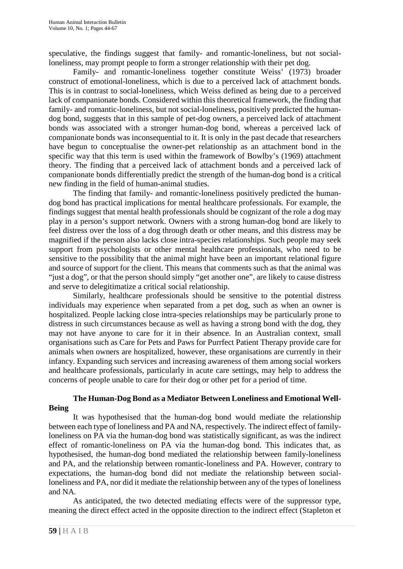speculative, the findings suggest that family- and romantic-loneliness, but not socialloneliness, may prompt people to form a stronger relationship with their pet dog.

Family- and romantic-loneliness together constitute Weiss' (1973) broader construct of emotional-loneliness, which is due to a perceived lack of attachment bonds. This is in contrast to social-loneliness, which Weiss defined as being due to a perceived lack of companionate bonds. Considered within this theoretical framework, the finding that family- and romantic-loneliness, but not social-loneliness, positively predicted the humandog bond, suggests that in this sample of pet-dog owners, a perceived lack of attachment bonds was associated with a stronger human-dog bond, whereas a perceived lack of companionate bonds was inconsequential to it. It is only in the past decade that researchers have begun to conceptualise the owner-pet relationship as an attachment bond in the specific way that this term is used within the framework of Bowlby's (1969) attachment theory. The finding that a perceived lack of attachment bonds and a perceived lack of companionate bonds differentially predict the strength of the human-dog bond is a critical new finding in the field of human-animal studies.

The finding that family- and romantic-loneliness positively predicted the humandog bond has practical implications for mental healthcare professionals. For example, the findings suggest that mental health professionals should be cognizant of the role a dog may play in a person's support network. Owners with a strong human-dog bond are likely to feel distress over the loss of a dog through death or other means, and this distress may be magnified if the person also lacks close intra-species relationships. Such people may seek support from psychologists or other mental healthcare professionals, who need to be sensitive to the possibility that the animal might have been an important relational figure and source of support for the client. This means that comments such as that the animal was "just a dog", or that the person should simply "get another one", are likely to cause distress and serve to delegitimatize a critical social relationship.

Similarly, healthcare professionals should be sensitive to the potential distress individuals may experience when separated from a pet dog, such as when an owner is hospitalized. People lacking close intra-species relationships may be particularly prone to distress in such circumstances because as well as having a strong bond with the dog, they may not have anyone to care for it in their absence. In an Australian context, small organisations such as Care for Pets and Paws for Purrfect Patient Therapy provide care for animals when owners are hospitalized, however, these organisations are currently in their infancy. Expanding such services and increasing awareness of them among social workers and healthcare professionals, particularly in acute care settings, may help to address the concerns of people unable to care for their dog or other pet for a period of time.

## **The Human-Dog Bond as a Mediator Between Loneliness and Emotional Well-Being**

It was hypothesised that the human-dog bond would mediate the relationship between each type of loneliness and PA and NA, respectively. The indirect effect of familyloneliness on PA via the human-dog bond was statistically significant, as was the indirect effect of romantic-loneliness on PA via the human-dog bond. This indicates that, as hypothesised, the human-dog bond mediated the relationship between family-loneliness and PA, and the relationship between romantic-loneliness and PA. However, contrary to expectations, the human-dog bond did not mediate the relationship between socialloneliness and PA, nor did it mediate the relationship between any of the types of loneliness and NA.

As anticipated, the two detected mediating effects were of the suppressor type, meaning the direct effect acted in the opposite direction to the indirect effect (Stapleton et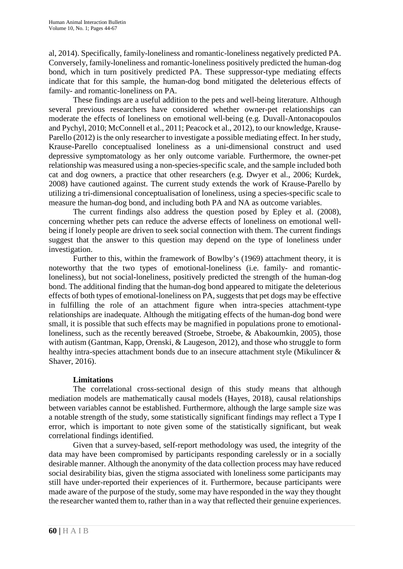al, 2014). Specifically, family-loneliness and romantic-loneliness negatively predicted PA. Conversely, family-loneliness and romantic-loneliness positively predicted the human-dog bond, which in turn positively predicted PA. These suppressor-type mediating effects indicate that for this sample, the human-dog bond mitigated the deleterious effects of family- and romantic-loneliness on PA.

These findings are a useful addition to the pets and well-being literature. Although several previous researchers have considered whether owner-pet relationships can moderate the effects of loneliness on emotional well-being (e.g. Duvall-Antonacopoulos and Pychyl, 2010; McConnell et al., 2011; Peacock et al., 2012), to our knowledge, Krause-Parello (2012) is the only researcher to investigate a possible mediating effect. In her study, Krause-Parello conceptualised loneliness as a uni-dimensional construct and used depressive symptomatology as her only outcome variable. Furthermore, the owner-pet relationship was measured using a non-species-specific scale, and the sample included both cat and dog owners, a practice that other researchers (e.g. Dwyer et al., 2006; Kurdek, 2008) have cautioned against. The current study extends the work of Krause-Parello by utilizing a tri-dimensional conceptualisation of loneliness, using a species-specific scale to measure the human-dog bond, and including both PA and NA as outcome variables.

The current findings also address the question posed by Epley et al. (2008), concerning whether pets can reduce the adverse effects of loneliness on emotional wellbeing if lonely people are driven to seek social connection with them. The current findings suggest that the answer to this question may depend on the type of loneliness under investigation.

Further to this, within the framework of Bowlby's (1969) attachment theory, it is noteworthy that the two types of emotional-loneliness (i.e. family- and romanticloneliness), but not social-loneliness, positively predicted the strength of the human-dog bond. The additional finding that the human-dog bond appeared to mitigate the deleterious effects of both types of emotional-loneliness on PA, suggests that pet dogs may be effective in fulfilling the role of an attachment figure when intra-species attachment-type relationships are inadequate. Although the mitigating effects of the human-dog bond were small, it is possible that such effects may be magnified in populations prone to emotionalloneliness, such as the recently bereaved (Stroebe, Stroebe, & Abakoumkin, 2005), those with autism (Gantman, Kapp, Orenski, & Laugeson, 2012), and those who struggle to form healthy intra-species attachment bonds due to an insecure attachment style (Mikulincer & Shaver, 2016).

## **Limitations**

The correlational cross-sectional design of this study means that although mediation models are mathematically causal models (Hayes, 2018), causal relationships between variables cannot be established. Furthermore, although the large sample size was a notable strength of the study, some statistically significant findings may reflect a Type I error, which is important to note given some of the statistically significant, but weak correlational findings identified.

Given that a survey-based, self-report methodology was used, the integrity of the data may have been compromised by participants responding carelessly or in a socially desirable manner. Although the anonymity of the data collection process may have reduced social desirability bias, given the stigma associated with loneliness some participants may still have under-reported their experiences of it. Furthermore, because participants were made aware of the purpose of the study, some may have responded in the way they thought the researcher wanted them to, rather than in a way that reflected their genuine experiences.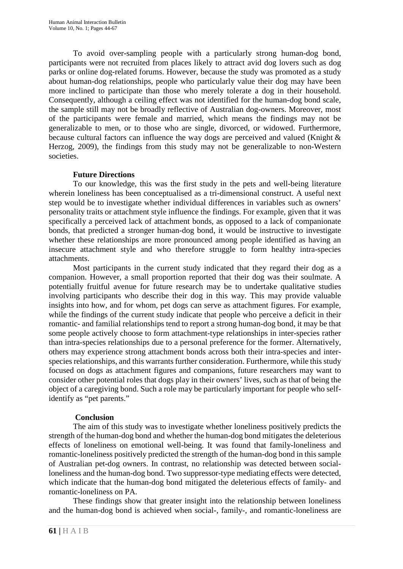To avoid over-sampling people with a particularly strong human-dog bond, participants were not recruited from places likely to attract avid dog lovers such as dog parks or online dog-related forums. However, because the study was promoted as a study about human-dog relationships, people who particularly value their dog may have been more inclined to participate than those who merely tolerate a dog in their household. Consequently, although a ceiling effect was not identified for the human-dog bond scale, the sample still may not be broadly reflective of Australian dog-owners. Moreover, most of the participants were female and married, which means the findings may not be generalizable to men, or to those who are single, divorced, or widowed. Furthermore, because cultural factors can influence the way dogs are perceived and valued (Knight & Herzog, 2009), the findings from this study may not be generalizable to non-Western societies.

## **Future Directions**

To our knowledge, this was the first study in the pets and well-being literature wherein loneliness has been conceptualised as a tri-dimensional construct. A useful next step would be to investigate whether individual differences in variables such as owners' personality traits or attachment style influence the findings. For example, given that it was specifically a perceived lack of attachment bonds, as opposed to a lack of companionate bonds, that predicted a stronger human-dog bond, it would be instructive to investigate whether these relationships are more pronounced among people identified as having an insecure attachment style and who therefore struggle to form healthy intra-species attachments.

Most participants in the current study indicated that they regard their dog as a companion. However, a small proportion reported that their dog was their soulmate. A potentially fruitful avenue for future research may be to undertake qualitative studies involving participants who describe their dog in this way. This may provide valuable insights into how, and for whom, pet dogs can serve as attachment figures. For example, while the findings of the current study indicate that people who perceive a deficit in their romantic- and familial relationships tend to report a strong human-dog bond, it may be that some people actively choose to form attachment-type relationships in inter-species rather than intra-species relationships due to a personal preference for the former. Alternatively, others may experience strong attachment bonds across both their intra-species and interspecies relationships, and this warrants further consideration. Furthermore, while this study focused on dogs as attachment figures and companions, future researchers may want to consider other potential roles that dogs play in their owners' lives, such as that of being the object of a caregiving bond. Such a role may be particularly important for people who selfidentify as "pet parents."

## **Conclusion**

The aim of this study was to investigate whether loneliness positively predicts the strength of the human-dog bond and whether the human-dog bond mitigates the deleterious effects of loneliness on emotional well-being. It was found that family-loneliness and romantic-loneliness positively predicted the strength of the human-dog bond in this sample of Australian pet-dog owners. In contrast, no relationship was detected between socialloneliness and the human-dog bond. Two suppressor-type mediating effects were detected, which indicate that the human-dog bond mitigated the deleterious effects of family- and romantic-loneliness on PA.

These findings show that greater insight into the relationship between loneliness and the human-dog bond is achieved when social-, family-, and romantic-loneliness are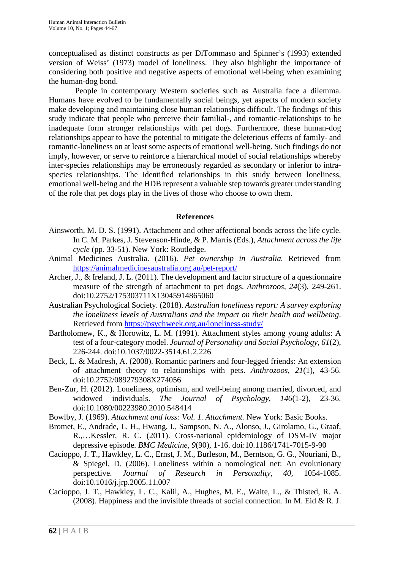conceptualised as distinct constructs as per DiTommaso and Spinner's (1993) extended version of Weiss' (1973) model of loneliness. They also highlight the importance of considering both positive and negative aspects of emotional well-being when examining the human-dog bond.

People in contemporary Western societies such as Australia face a dilemma. Humans have evolved to be fundamentally social beings, yet aspects of modern society make developing and maintaining close human relationships difficult. The findings of this study indicate that people who perceive their familial-, and romantic-relationships to be inadequate form stronger relationships with pet dogs. Furthermore, these human-dog relationships appear to have the potential to mitigate the deleterious effects of family- and romantic-loneliness on at least some aspects of emotional well-being. Such findings do not imply, however, or serve to reinforce a hierarchical model of social relationships whereby inter-species relationships may be erroneously regarded as secondary or inferior to intraspecies relationships. The identified relationships in this study between loneliness, emotional well-being and the HDB represent a valuable step towards greater understanding of the role that pet dogs play in the lives of those who choose to own them.

#### **References**

- Ainsworth, M. D. S. (1991). Attachment and other affectional bonds across the life cycle. In C. M. Parkes, J. Stevenson-Hinde, & P. Marris (Eds.), *Attachment across the life cycle* (pp. 33-51). New York: Routledge.
- Animal Medicines Australia. (2016). *Pet ownership in Australia.* Retrieved from <https://animalmedicinesaustralia.org.au/pet-report/>
- Archer, J., & Ireland, J. L. (2011). The development and factor structure of a questionnaire measure of the strength of attachment to pet dogs. *Anthrozoos, 24*(3), 249-261. doi:10.2752/175303711X13045914865060
- Australian Psychological Society. (2018). *Australian loneliness report: A survey exploring the loneliness levels of Australians and the impact on their health and wellbeing*. Retrieved from<https://psychweek.org.au/loneliness-study/>
- Bartholomew, K., & Horowitz, L. M. (1991). Attachment styles among young adults: A test of a four-category model. *Journal of Personality and Social Psychology, 61*(2), 226-244. doi:10.1037/0022-3514.61.2.226
- Beck, L. & Madresh, A. (2008). Romantic partners and four-legged friends: An extension of attachment theory to relationships with pets. *Anthrozoos, 21*(1), 43-56. doi:10.2752/089279308X274056
- Ben-Zur, H. (2012). Loneliness, optimism, and well-being among married, divorced, and widowed individuals. *The Journal of Psychology, 146*(1-2), 23-36. doi:10.1080/00223980.2010.548414
- Bowlby, J. (1969). *Attachment and loss: Vol. 1. Attachment.* New York: Basic Books.
- Bromet, E., Andrade, L. H., Hwang, I., Sampson, N. A., Alonso, J., Girolamo, G., Graaf, R.,…Kessler, R. C. (2011). Cross-national epidemiology of DSM-IV major depressive episode. *BMC Medicine, 9*(90), 1-16. doi:10.1186/1741-7015-9-90
- Cacioppo, J. T., Hawkley, L. C., Ernst, J. M., Burleson, M., Berntson, G. G., Nouriani, B., & Spiegel, D. (2006). Loneliness within a nomological net: An evolutionary perspective. *Journal of Research in Personality, 40,* 1054-1085. doi:10.1016/j.jrp.2005.11.007
- Cacioppo, J. T., Hawkley, L. C., Kalil, A., Hughes, M. E., Waite, L., & Thisted, R. A. (2008). Happiness and the invisible threads of social connection. In M. Eid & R. J.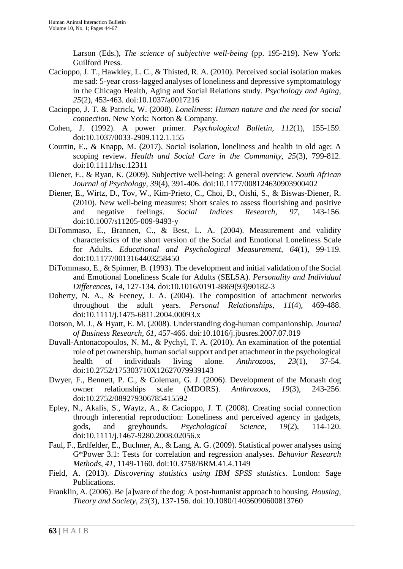Larson (Eds.), *The science of subjective well-being* (pp. 195-219). New York: Guilford Press.

- Cacioppo, J. T., Hawkley, L. C., & Thisted, R. A. (2010). Perceived social isolation makes me sad: 5-year cross-lagged analyses of loneliness and depressive symptomatology in the Chicago Health, Aging and Social Relations study. *Psychology and Aging, 25*(2), 453-463. doi:10.1037/a0017216
- Cacioppo, J. T. & Patrick, W. (2008). *Loneliness: Human nature and the need for social connection.* New York: Norton & Company.
- Cohen, J. (1992). A power primer. *Psychological Bulletin, 112*(1), 155-159. doi[:10.1037/0033-2909.112.1.155](http://psycnet.apa.org/doi/10.1037/0033-2909.112.1.155)
- Courtin, E., & Knapp, M. (2017). Social isolation, loneliness and health in old age: A scoping review. *Health and Social Care in the Community, 25*(3), 799-812. doi:10.1111/hsc.12311
- Diener, E., & Ryan, K. (2009). Subjective well-being: A general overview. *South African Journal of Psychology, 39*(4), 391-406. doi:10.1177/008124630903900402
- Diener, E., Wirtz, D., Tov, W., Kim-Prieto, C., Choi, D., Oishi, S., & Biswas-Diener, R. (2010). New well-being measures: Short scales to assess flourishing and positive and negative feelings. *Social Indices Research, 97,* 143-156. doi:10.1007/s11205-009-9493-y
- DiTommaso, E., Brannen, C., & Best, L. A. (2004). Measurement and validity characteristics of the short version of the Social and Emotional Loneliness Scale for Adults. *Educational and Psychological Measurement, 64*(1), 99-119. doi:10.1177/0013164403258450
- DiTommaso, E., & Spinner, B. (1993). The development and initial validation of the Social and Emotional Loneliness Scale for Adults (SELSA). *Personality and Individual Differences, 14,* 127-134. doi:10.1016/0191-8869(93)90182-3
- Doherty, N. A., & Feeney, J. A. (2004). The composition of attachment networks throughout the adult years. *Personal Relationships, 11*(4), 469-488. doi:10.1111/j.1475-6811.2004.00093.x
- Dotson, M. J., & Hyatt, E. M. (2008). Understanding dog-human companionship. *Journal of Business Research, 61,* 457-466. doi:10.1016/j.jbusres.2007.07.019
- Duvall-Antonacopoulos, N. M., & Pychyl, T. A. (2010). An examination of the potential role of pet ownership, human social support and pet attachment in the psychological health of individuals living alone. *Anthrozoos, 23*(1), 37-54. doi:10.2752/175303710X12627079939143
- Dwyer, F., Bennett, P. C., & Coleman, G. J. (2006). Development of the Monash dog owner relationships scale (MDORS). *Anthrozoos, 19*(3), 243-256. doi:10.2752/089279306785415592
- Epley, N., Akalis, S., Waytz, A., & Cacioppo, J. T. (2008). Creating social connection through inferential reproduction: Loneliness and perceived agency in gadgets, gods, and greyhounds. *Psychological Science, 19*(2), 114-120. doi:10.1111/j.1467-9280.2008.02056.x
- Faul, F., Erdfelder, E., Buchner, A., & Lang, A. G. (2009). Statistical power analyses using G\*Power 3.1: Tests for correlation and regression analyses. *Behavior Research Methods*, *41*, 1149-1160. doi:10.3758/BRM.41.4.1149
- Field, A. (2013). *Discovering statistics using IBM SPSS statistics*. London: Sage Publications.
- Franklin, A. (2006). Be [a]ware of the dog: A post-humanist approach to housing. *Housing, Theory and Society, 23*(3), 137-156. doi:10.1080/14036090600813760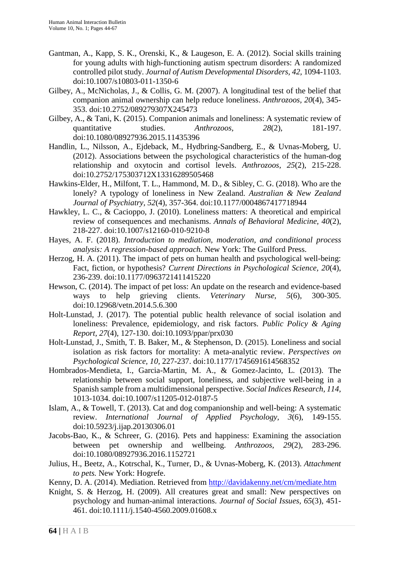- Gantman, A., Kapp, S. K., Orenski, K., & Laugeson, E. A. (2012). Social skills training for young adults with high-functioning autism spectrum disorders: A randomized controlled pilot study. *Journal of Autism Developmental Disorders, 42,* 1094-1103. doi:10.1007/s10803-011-1350-6
- Gilbey, A., McNicholas, J., & Collis, G. M. (2007). A longitudinal test of the belief that companion animal ownership can help reduce loneliness. *Anthrozoos, 20*(4), 345- 353. doi:10.2752/089279307X245473
- Gilbey, A., & Tani, K. (2015). Companion animals and loneliness: A systematic review of quantitative studies. *Anthrozoos*, 28(2), 181-197. doi:10.1080/08927936.2015.11435396
- Handlin, L., Nilsson, A., Ejdeback, M., Hydbring-Sandberg, E., & Uvnas-Moberg, U. (2012). Associations between the psychological characteristics of the human-dog relationship and oxytocin and cortisol levels. *Anthrozoos, 25*(2), 215-228. doi:10.2752/175303712X13316289505468
- Hawkins-Elder, H., Milfont, T. L., Hammond, M. D., & Sibley, C. G. (2018). Who are the lonely? A typology of loneliness in New Zealand. *Australian & New Zealand Journal of Psychiatry, 52*(4), 357-364. doi:10.1177/0004867417718944
- Hawkley, L. C., & Cacioppo, J. (2010). Loneliness matters: A theoretical and empirical review of consequences and mechanisms. *Annals of Behavioral Medicine, 40*(2), 218-227. doi:10.1007/s12160-010-9210-8
- Hayes, A. F. (2018). *Introduction to mediation, moderation, and conditional process analysis: A regression-based approach.* New York: The Guilford Press.
- Herzog, H. A. (2011). The impact of pets on human health and psychological well-being: Fact, fiction, or hypothesis? *Current Directions in Psychological Science, 20*(4), 236-239. doi:10.1177/0963721411415220
- Hewson, C. (2014). The impact of pet loss: An update on the research and evidence-based ways to help grieving clients. *Veterinary Nurse, 5*(6), 300-305. doi:10.12968/vetn.2014.5.6.300
- Holt-Lunstad, J. (2017). The potential public health relevance of social isolation and loneliness: Prevalence, epidemiology, and risk factors. *Public Policy & Aging Report, 27*(4), 127-130. doi:10.1093/ppar/prx030
- Holt-Lunstad, J., Smith, T. B. Baker, M., & Stephenson, D. (2015). Loneliness and social isolation as risk factors for mortality: A meta-analytic review. *Perspectives on Psychological Science, 10,* 227-237. doi:10.1177/1745691614568352
- Hombrados-Mendieta, I., Garcia-Martin, M. A., & Gomez-Jacinto, L. (2013). The relationship between social support, loneliness, and subjective well-being in a Spanish sample from a multidimensional perspective. *Social Indices Research, 114,*  1013-1034. doi:10.1007/s11205-012-0187-5
- Islam, A., & Towell, T. (2013). Cat and dog companionship and well-being: A systematic review. *International Journal of Applied Psychology, 3*(6), 149-155. doi:10.5923/j.ijap.20130306.01
- Jacobs-Bao, K., & Schreer, G. (2016). Pets and happiness: Examining the association between pet ownership and wellbeing. *Anthrozoos, 29*(2), 283-296. doi:10.1080/08927936.2016.1152721
- Julius, H., Beetz, A., Kotrschal, K., Turner, D., & Uvnas-Moberg, K. (2013). *Attachment to pets.* New York: Hogrefe.
- Kenny, D. A. (2014). Mediation. Retrieved from<http://davidakenny.net/cm/mediate.htm>
- Knight, S. & Herzog, H. (2009). All creatures great and small: New perspectives on psychology and human-animal interactions. *Journal of Social Issues, 65*(3), 451- 461. doi:10.1111/j.1540-4560.2009.01608.x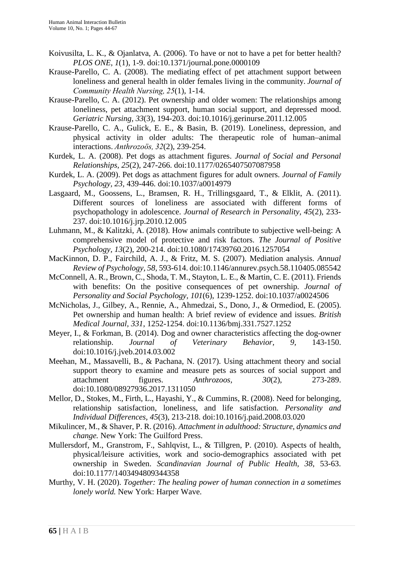- Koivusilta, L. K., & Ojanlatva, A. (2006). To have or not to have a pet for better health? *PLOS ONE, 1*(1), 1-9. doi:10.1371/journal.pone.0000109
- Krause-Parello, C. A. (2008). The mediating effect of pet attachment support between loneliness and general health in older females living in the community. *Journal of Community Health Nursing, 25*(1), 1-14.
- Krause-Parello, C. A. (2012). Pet ownership and older women: The relationships among loneliness, pet attachment support, human social support, and depressed mood. *Geriatric Nursing, 33*(3), 194-203. doi:10.1016/j.gerinurse.2011.12.005
- Krause-Parello, C. A., Gulick, E. E., & Basin, B. (2019). Loneliness, depression, and physical activity in older adults: The therapeutic role of human–animal interactions. *Anthrozoös, 32*(2), 239-254.
- Kurdek, L. A. (2008). Pet dogs as attachment figures. *Journal of Social and Personal Relationships, 25*(2), 247-266. doi:10.1177/0265407507087958
- Kurdek, L. A. (2009). Pet dogs as attachment figures for adult owners. *Journal of Family Psychology, 23,* 439-446. doi:10.1037/a0014979
- Lasgaard, M., Goossens, L., Bramsen, R. H., Trillingsgaard, T., & Elklit, A. (2011). Different sources of loneliness are associated with different forms of psychopathology in adolescence. *Journal of Research in Personality, 45*(2), 233- 237. doi:10.1016/j.jrp.2010.12.005
- Luhmann, M., & Kalitzki, A. (2018). How animals contribute to subjective well-being: A comprehensive model of protective and risk factors. *The Journal of Positive Psychology, 13*(2), 200-214. doi:10.1080/17439760.2016.1257054
- MacKinnon, D. P., Fairchild, A. J., & Fritz, M. S. (2007). Mediation analysis. *Annual Review of Psychology, 58,* 593-614. doi:10.1146/annurev.psych.58.110405.085542
- McConnell, A. R., Brown, C., Shoda, T. M., Stayton, L. E., & Martin, C. E. (2011). Friends with benefits: On the positive consequences of pet ownership. *Journal of Personality and Social Psychology, 101*(6), 1239-1252. doi:10.1037/a0024506
- McNicholas, J., Gilbey, A., Rennie, A., Ahmedzai, S., Dono, J., & Ormediod, E. (2005). Pet ownership and human health: A brief review of evidence and issues. *British Medical Journal, 331*, 1252-1254. doi:10.1136/bmj.331.7527.1252
- Meyer, I., & Forkman, B. (2014). Dog and owner characteristics affecting the dog-owner relationship. *Journal of Veterinary Behavior, 9,* 143-150. doi:10.1016/j.jveb.2014.03.002
- Meehan, M., Massavelli, B., & Pachana, N. (2017). Using attachment theory and social support theory to examine and measure pets as sources of social support and attachment figures. *Anthrozoos, 30*(2), 273-289. doi:10.1080/08927936.2017.1311050
- Mellor, D., Stokes, M., Firth, L., Hayashi, Y., & Cummins, R. (2008). Need for belonging, relationship satisfaction, loneliness, and life satisfaction. *Personality and Individual Differences, 45*(3), 213-218. doi:10.1016/j.paid.2008.03.020
- Mikulincer, M., & Shaver, P. R. (2016). *Attachment in adulthood: Structure, dynamics and change.* New York: The Guilford Press.
- Mullersdorf, M., Granstrom, F., Sahlqvist, L., & Tillgren, P. (2010). Aspects of health, physical/leisure activities, work and socio-demographics associated with pet ownership in Sweden. *Scandinavian Journal of Public Health, 38*, 53-63. doi:10.1177/1403494809344358
- Murthy, V. H. (2020). *Together: The healing power of human connection in a sometimes lonely world.* New York: Harper Wave.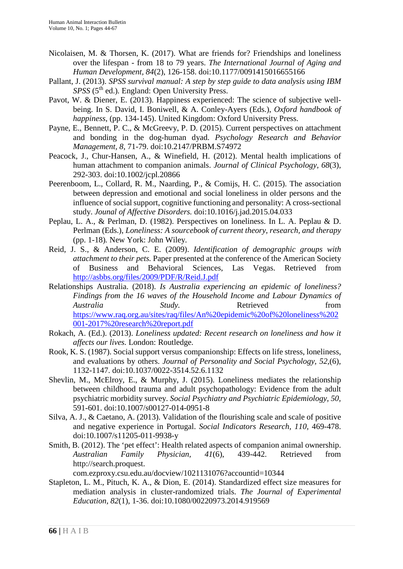- Nicolaisen, M. & Thorsen, K. (2017). What are friends for? Friendships and loneliness over the lifespan - from 18 to 79 years. *The International Journal of Aging and Human Development, 84*(2), 126-158. doi:10.1177/0091415016655166
- Pallant, J. (2013). *SPSS survival manual: A step by step guide to data analysis using IBM SPSS* (5<sup>th</sup> ed.). England: Open University Press.
- Pavot, W. & Diener, E. (2013). Happiness experienced: The science of subjective wellbeing. In S. David, I. Boniwell, & A. Conley-Ayers (Eds.), *Oxford handbook of happiness*, (pp. 134-145). United Kingdom: Oxford University Press.
- Payne, E., Bennett, P. C., & McGreevy, P. D. (2015). Current perspectives on attachment and bonding in the dog-human dyad. *Psychology Research and Behavior Management, 8,* 71-79. doi:10.2147/PRBM.S74972
- Peacock, J., Chur-Hansen, A., & Winefield, H. (2012). Mental health implications of human attachment to companion animals. *Journal of Clinical Psychology, 68*(3), 292-303. doi:10.1002/jcpl.20866
- Peerenboom, L., Collard, R. M., Naarding, P., & Comijs, H. C. (2015). The association between depression and emotional and social loneliness in older persons and the influence of social support, cognitive functioning and personality: A cross-sectional study. *Jounal of Affective Disorders.* doi:10.1016/j.jad.2015.04.033
- Peplau, L. A., & Perlman, D. (1982). Perspectives on loneliness. In L. A. Peplau & D. Perlman (Eds.), *Loneliness: A sourcebook of current theory, research, and therapy*  (pp. 1-18)*.* New York: John Wiley.
- Reid, J. S., & Anderson, C. E. (2009). *Identification of demographic groups with attachment to their pets.* Paper presented at the conference of the American Society of Business and Behavioral Sciences, Las Vegas. Retrieved from <http://asbbs.org/files/2009/PDF/R/Reid.J.pdf>
- Relationships Australia. (2018). *Is Australia experiencing an epidemic of loneliness? Findings from the 16 waves of the Household Income and Labour Dynamics of Australia Study*. Retrieved from [https://www.raq.org.au/sites/raq/files/An%20epidemic%20of%20loneliness%202](https://www.raq.org.au/sites/raq/files/An%20epidemic%20of%20loneliness%202001-2017%20research%20report.pdf) [001-2017%20research%20report.pdf](https://www.raq.org.au/sites/raq/files/An%20epidemic%20of%20loneliness%202001-2017%20research%20report.pdf)
- Rokach, A. (Ed.). (2013). *Loneliness updated: Recent research on loneliness and how it affects our lives.* London: Routledge.
- Rook, K. S. (1987). Social support versus companionship: Effects on life stress, loneliness, and evaluations by others. *Journal of Personality and Social Psychology, 52,*(6), 1132-1147. doi:10.1037/0022-3514.52.6.1132
- Shevlin, M., McElroy, E., & Murphy, J. (2015). Loneliness mediates the relationship between childhood trauma and adult psychopathology: Evidence from the adult psychiatric morbidity survey. *Social Psychiatry and Psychiatric Epidemiology, 50,*  591-601. doi:10.1007/s00127-014-0951-8
- Silva, A. J., & Caetano, A. (2013). Validation of the flourishing scale and scale of positive and negative experience in Portugal. *Social Indicators Research, 110,* 469-478. doi:10.1007/s11205-011-9938-y
- Smith, B. (2012). The 'pet effect': Health related aspects of companion animal ownership. *Australian Family Physician, 41*(6), 439-442. Retrieved from [http://search.proquest.](http://search.proquest/)

com.ezproxy.csu.edu.au/docview/1021131076?accountid=10344

Stapleton, L. M., Pituch, K. A., & Dion, E. (2014). Standardized effect size measures for mediation analysis in cluster-randomized trials. *The Journal of Experimental Education, 82*(1), 1-36. doi:10.1080/00220973.2014.919569